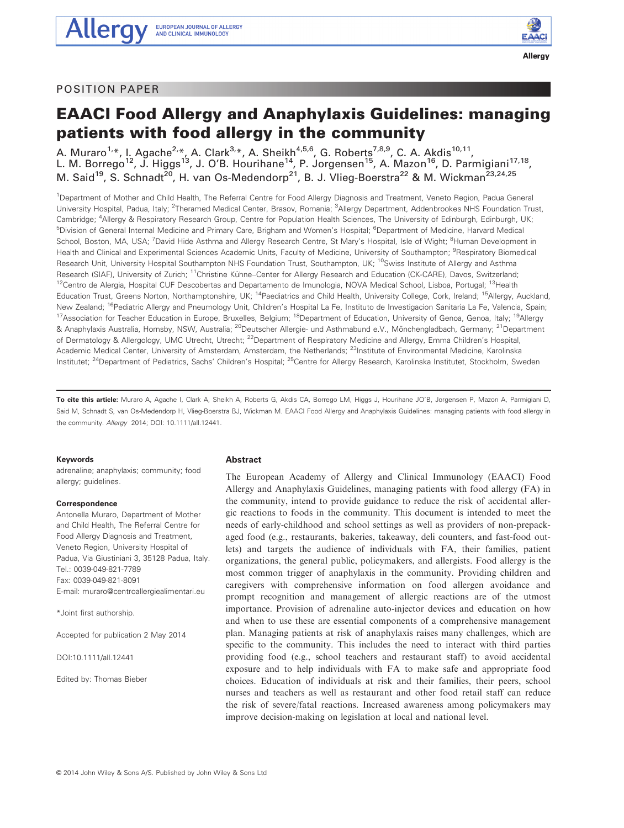**Allergy** 

# EAACI Food Allergy and Anaphylaxis Guidelines: managing patients with food allergy in the community

A. Muraro<sup>1,\*</sup>, I. Agache<sup>2,\*</sup>, A. Clark<sup>3,\*</sup>, A. Sheikh<sup>4,5,6</sup>, G. Roberts<sup>7,8,9</sup>, C. A. Akdis<sup>10,11</sup>, L. M. Borrego<sup>12</sup>, J. Higgs<sup>13</sup>, J. O'B. Hourihane<sup>14</sup>, P. Jorgensen<sup>15</sup>, A. Mazon<sup>16</sup>, D. Parmigiani<sup>17,18</sup>, M. Said<sup>19</sup>, S. Schnadt<sup>20</sup>, H. van Os-Medendorp<sup>21</sup>, B. J. Vlieg-Boerstra<sup>22</sup> & M. Wickman<sup>23,24,25</sup>

<sup>1</sup>Department of Mother and Child Health, The Referral Centre for Food Allergy Diagnosis and Treatment, Veneto Region, Padua General University Hospital, Padua, Italy; <sup>2</sup>Theramed Medical Center, Brasov, Romania; <sup>3</sup>Allergy Department, Addenbrookes NHS Foundation Trust, Cambridge; <sup>4</sup> Allergy & Respiratory Research Group, Centre for Population Health Sciences, The University of Edinburgh, Edinburgh, UK; <sup>5</sup>Division of General Internal Medicine and Primary Care, Brigham and Women's Hospital; <sup>6</sup>Department of Medicine, Harvard Medical School, Boston, MA, USA; <sup>7</sup>David Hide Asthma and Allergy Research Centre, St Mary's Hospital, Isle of Wight; <sup>8</sup>Human Development in Health and Clinical and Experimental Sciences Academic Units, Faculty of Medicine, University of Southampton; <sup>9</sup>Respiratory Biomedical Research Unit, University Hospital Southampton NHS Foundation Trust, Southampton, UK; <sup>10</sup>Swiss Institute of Allergy and Asthma Research (SIAF), University of Zurich; <sup>11</sup>Christine Kühne-Center for Allergy Research and Education (CK-CARE), Davos, Switzerland; <sup>12</sup>Centro de Alergia, Hospital CUF Descobertas and Departamento de Imunologia, NOVA Medical School, Lisboa, Portugal; <sup>13</sup>Health Education Trust, Greens Norton, Northamptonshire, UK; <sup>14</sup>Paediatrics and Child Health, University College, Cork, Ireland; <sup>15</sup>Allergy, Auckland, New Zealand; <sup>16</sup>Pediatric Allergy and Pneumology Unit, Children's Hospital La Fe, Instituto de Investigacion Sanitaria La Fe, Valencia, Spain; <sup>17</sup>Association for Teacher Education in Europe, Bruxelles, Belgium; <sup>18</sup>Department of Education, University of Genoa, Genoa, Italy; <sup>19</sup>Allergy & Anaphylaxis Australia, Hornsby, NSW, Australia; <sup>20</sup>Deutscher Allergie- und Asthmabund e.V., Mönchengladbach, Germany; <sup>21</sup>Department of Dermatology & Allergology, UMC Utrecht, Utrecht; <sup>22</sup>Department of Respiratory Medicine and Allergy, Emma Children's Hospital, Academic Medical Center, University of Amsterdam, Amsterdam, the Netherlands; 23Institute of Environmental Medicine, Karolinska Institutet; <sup>24</sup>Department of Pediatrics, Sachs' Children's Hospital; <sup>25</sup>Centre for Allergy Research, Karolinska Institutet, Stockholm, Sweden

To cite this article: Muraro A, Agache I, Clark A, Sheikh A, Roberts G, Akdis CA, Borrego LM, Higgs J, Hourihane JO'B, Jorgensen P, Mazon A, Parmigiani D, Said M, Schnadt S, van Os-Medendorp H, Vlieg-Boerstra BJ, Wickman M. EAACI Food Allergy and Anaphylaxis Guidelines: managing patients with food allergy in the community. Allergy 2014; DOI: 10.1111/all.12441.

# Keywords

adrenaline; anaphylaxis; community; food allergy; guidelines.

# **Correspondence**

Antonella Muraro, Department of Mother and Child Health, The Referral Centre for Food Allergy Diagnosis and Treatment, Veneto Region, University Hospital of Padua, Via Giustiniani 3, 35128 Padua, Italy. Tel.: 0039-049-821-7789 Fax: 0039-049-821-8091 E-mail: muraro@centroallergiealimentari.eu

\*Joint first authorship.

Accepted for publication 2 May 2014

DOI:10.1111/all.12441

Edited by: Thomas Bieber

# Abstract

The European Academy of Allergy and Clinical Immunology (EAACI) Food Allergy and Anaphylaxis Guidelines, managing patients with food allergy (FA) in the community, intend to provide guidance to reduce the risk of accidental allergic reactions to foods in the community. This document is intended to meet the needs of early-childhood and school settings as well as providers of non-prepackaged food (e.g., restaurants, bakeries, takeaway, deli counters, and fast-food outlets) and targets the audience of individuals with FA, their families, patient organizations, the general public, policymakers, and allergists. Food allergy is the most common trigger of anaphylaxis in the community. Providing children and caregivers with comprehensive information on food allergen avoidance and prompt recognition and management of allergic reactions are of the utmost importance. Provision of adrenaline auto-injector devices and education on how and when to use these are essential components of a comprehensive management plan. Managing patients at risk of anaphylaxis raises many challenges, which are specific to the community. This includes the need to interact with third parties providing food (e.g., school teachers and restaurant staff) to avoid accidental exposure and to help individuals with FA to make safe and appropriate food choices. Education of individuals at risk and their families, their peers, school nurses and teachers as well as restaurant and other food retail staff can reduce the risk of severe/fatal reactions. Increased awareness among policymakers may improve decision-making on legislation at local and national level.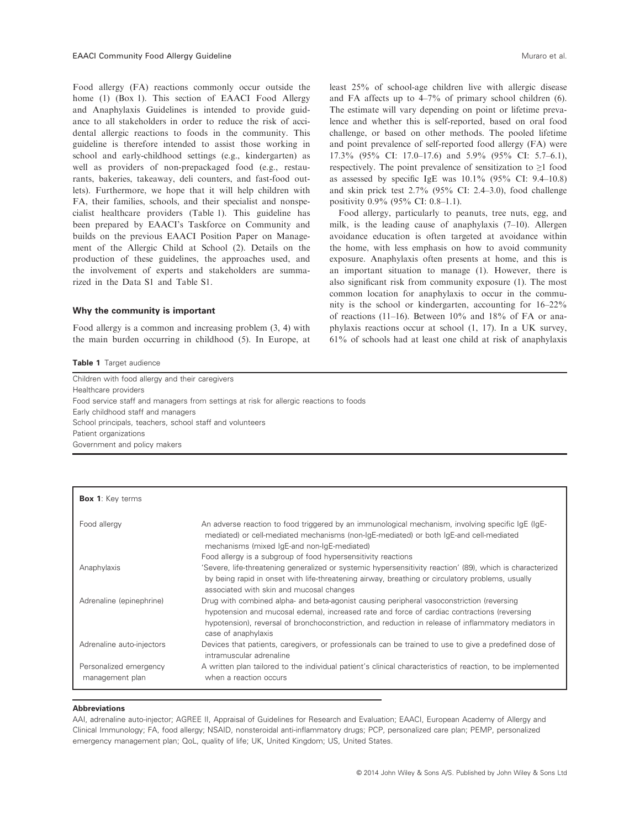Food allergy (FA) reactions commonly occur outside the home (1) (Box 1). This section of EAACI Food Allergy and Anaphylaxis Guidelines is intended to provide guidance to all stakeholders in order to reduce the risk of accidental allergic reactions to foods in the community. This guideline is therefore intended to assist those working in school and early-childhood settings (e.g., kindergarten) as well as providers of non-prepackaged food (e.g., restaurants, bakeries, takeaway, deli counters, and fast-food outlets). Furthermore, we hope that it will help children with FA, their families, schools, and their specialist and nonspecialist healthcare providers (Table 1). This guideline has been prepared by EAACI's Taskforce on Community and builds on the previous EAACI Position Paper on Management of the Allergic Child at School (2). Details on the production of these guidelines, the approaches used, and the involvement of experts and stakeholders are summarized in the Data S1 and Table S1.

## Why the community is important

Food allergy is a common and increasing problem (3, 4) with the main burden occurring in childhood (5). In Europe, at

Table 1 Target audience

least 25% of school-age children live with allergic disease and FA affects up to 4–7% of primary school children (6). The estimate will vary depending on point or lifetime prevalence and whether this is self-reported, based on oral food challenge, or based on other methods. The pooled lifetime and point prevalence of self-reported food allergy (FA) were 17.3% (95% CI: 17.0–17.6) and 5.9% (95% CI: 5.7–6.1), respectively. The point prevalence of sensitization to ≥1 food as assessed by specific IgE was  $10.1\%$  (95% CI: 9.4–10.8) and skin prick test 2.7% (95% CI: 2.4–3.0), food challenge positivity 0.9% (95% CI: 0.8–1.1).

Food allergy, particularly to peanuts, tree nuts, egg, and milk, is the leading cause of anaphylaxis (7–10). Allergen avoidance education is often targeted at avoidance within the home, with less emphasis on how to avoid community exposure. Anaphylaxis often presents at home, and this is an important situation to manage (1). However, there is also significant risk from community exposure (1). The most common location for anaphylaxis to occur in the community is the school or kindergarten, accounting for 16–22% of reactions (11–16). Between  $10\%$  and  $18\%$  of FA or anaphylaxis reactions occur at school (1, 17). In a UK survey, 61% of schools had at least one child at risk of anaphylaxis

| Children with food allergy and their caregivers                                       |
|---------------------------------------------------------------------------------------|
| Healthcare providers                                                                  |
| Food service staff and managers from settings at risk for allergic reactions to foods |
| Early childhood staff and managers                                                    |
| School principals, teachers, school staff and volunteers                              |
| Patient organizations                                                                 |
| Government and policy makers                                                          |

| <b>Box 1:</b> Key terms                   |                                                                                                                                                                                                                                                                                                                         |
|-------------------------------------------|-------------------------------------------------------------------------------------------------------------------------------------------------------------------------------------------------------------------------------------------------------------------------------------------------------------------------|
| Food allergy                              | An adverse reaction to food triggered by an immunological mechanism, involving specific IgE (IgE-<br>mediated) or cell-mediated mechanisms (non-IqE-mediated) or both IqE-and cell-mediated<br>mechanisms (mixed IgE-and non-IgE-mediated)<br>Food allergy is a subgroup of food hypersensitivity reactions             |
| Anaphylaxis                               | 'Severe, life-threatening generalized or systemic hypersensitivity reaction' (89), which is characterized<br>by being rapid in onset with life-threatening airway, breathing or circulatory problems, usually<br>associated with skin and mucosal changes                                                               |
| Adrenaline (epinephrine)                  | Drug with combined alpha- and beta-agonist causing peripheral vasoconstriction (reversing<br>hypotension and mucosal edema), increased rate and force of cardiac contractions (reversing<br>hypotension), reversal of bronchoconstriction, and reduction in release of inflammatory mediators in<br>case of anaphylaxis |
| Adrenaline auto-injectors                 | Devices that patients, caregivers, or professionals can be trained to use to give a predefined dose of<br>intramuscular adrenaline                                                                                                                                                                                      |
| Personalized emergency<br>management plan | A written plan tailored to the individual patient's clinical characteristics of reaction, to be implemented<br>when a reaction occurs                                                                                                                                                                                   |

#### **Abbreviations**

AAI, adrenaline auto-injector; AGREE II, Appraisal of Guidelines for Research and Evaluation; EAACI, European Academy of Allergy and Clinical Immunology; FA, food allergy; NSAID, nonsteroidal anti-inflammatory drugs; PCP, personalized care plan; PEMP, personalized emergency management plan; QoL, quality of life; UK, United Kingdom; US, United States.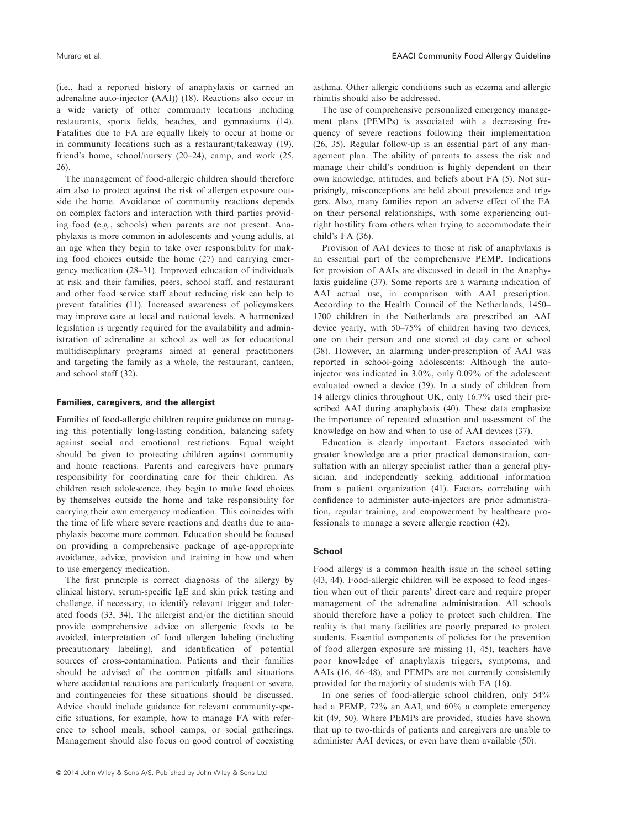(i.e., had a reported history of anaphylaxis or carried an adrenaline auto-injector (AAI)) (18). Reactions also occur in a wide variety of other community locations including restaurants, sports fields, beaches, and gymnasiums (14). Fatalities due to FA are equally likely to occur at home or in community locations such as a restaurant/takeaway (19), friend's home, school/nursery (20–24), camp, and work (25, 26).

The management of food-allergic children should therefore aim also to protect against the risk of allergen exposure outside the home. Avoidance of community reactions depends on complex factors and interaction with third parties providing food (e.g., schools) when parents are not present. Anaphylaxis is more common in adolescents and young adults, at an age when they begin to take over responsibility for making food choices outside the home (27) and carrying emergency medication (28–31). Improved education of individuals at risk and their families, peers, school staff, and restaurant and other food service staff about reducing risk can help to prevent fatalities (11). Increased awareness of policymakers may improve care at local and national levels. A harmonized legislation is urgently required for the availability and administration of adrenaline at school as well as for educational multidisciplinary programs aimed at general practitioners and targeting the family as a whole, the restaurant, canteen, and school staff (32).

## Families, caregivers, and the allergist

Families of food-allergic children require guidance on managing this potentially long-lasting condition, balancing safety against social and emotional restrictions. Equal weight should be given to protecting children against community and home reactions. Parents and caregivers have primary responsibility for coordinating care for their children. As children reach adolescence, they begin to make food choices by themselves outside the home and take responsibility for carrying their own emergency medication. This coincides with the time of life where severe reactions and deaths due to anaphylaxis become more common. Education should be focused on providing a comprehensive package of age-appropriate avoidance, advice, provision and training in how and when to use emergency medication.

The first principle is correct diagnosis of the allergy by clinical history, serum-specific IgE and skin prick testing and challenge, if necessary, to identify relevant trigger and tolerated foods (33, 34). The allergist and/or the dietitian should provide comprehensive advice on allergenic foods to be avoided, interpretation of food allergen labeling (including precautionary labeling), and identification of potential sources of cross-contamination. Patients and their families should be advised of the common pitfalls and situations where accidental reactions are particularly frequent or severe, and contingencies for these situations should be discussed. Advice should include guidance for relevant community-specific situations, for example, how to manage FA with reference to school meals, school camps, or social gatherings. Management should also focus on good control of coexisting asthma. Other allergic conditions such as eczema and allergic rhinitis should also be addressed.

The use of comprehensive personalized emergency management plans (PEMPs) is associated with a decreasing frequency of severe reactions following their implementation (26, 35). Regular follow-up is an essential part of any management plan. The ability of parents to assess the risk and manage their child's condition is highly dependent on their own knowledge, attitudes, and beliefs about FA (5). Not surprisingly, misconceptions are held about prevalence and triggers. Also, many families report an adverse effect of the FA on their personal relationships, with some experiencing outright hostility from others when trying to accommodate their child's FA (36).

Provision of AAI devices to those at risk of anaphylaxis is an essential part of the comprehensive PEMP. Indications for provision of AAIs are discussed in detail in the Anaphylaxis guideline (37). Some reports are a warning indication of AAI actual use, in comparison with AAI prescription. According to the Health Council of the Netherlands, 1450– 1700 children in the Netherlands are prescribed an AAI device yearly, with 50–75% of children having two devices, one on their person and one stored at day care or school (38). However, an alarming under-prescription of AAI was reported in school-going adolescents: Although the autoinjector was indicated in 3.0%, only 0.09% of the adolescent evaluated owned a device (39). In a study of children from 14 allergy clinics throughout UK, only 16.7% used their prescribed AAI during anaphylaxis (40). These data emphasize the importance of repeated education and assessment of the knowledge on how and when to use of AAI devices (37).

Education is clearly important. Factors associated with greater knowledge are a prior practical demonstration, consultation with an allergy specialist rather than a general physician, and independently seeking additional information from a patient organization (41). Factors correlating with confidence to administer auto-injectors are prior administration, regular training, and empowerment by healthcare professionals to manage a severe allergic reaction (42).

# **School**

Food allergy is a common health issue in the school setting (43, 44). Food-allergic children will be exposed to food ingestion when out of their parents' direct care and require proper management of the adrenaline administration. All schools should therefore have a policy to protect such children. The reality is that many facilities are poorly prepared to protect students. Essential components of policies for the prevention of food allergen exposure are missing (1, 45), teachers have poor knowledge of anaphylaxis triggers, symptoms, and AAIs (16, 46–48), and PEMPs are not currently consistently provided for the majority of students with FA (16).

In one series of food-allergic school children, only 54% had a PEMP, 72% an AAI, and 60% a complete emergency kit (49, 50). Where PEMPs are provided, studies have shown that up to two-thirds of patients and caregivers are unable to administer AAI devices, or even have them available (50).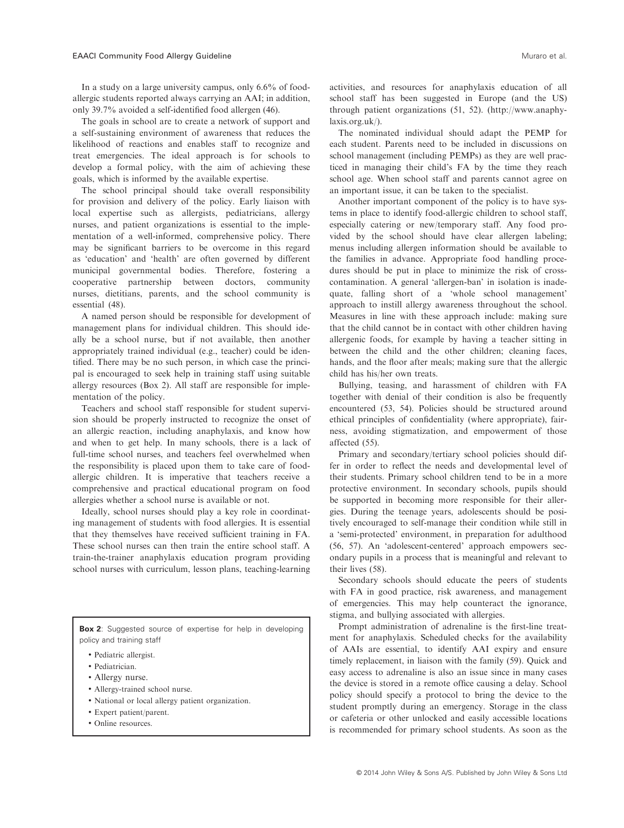In a study on a large university campus, only 6.6% of foodallergic students reported always carrying an AAI; in addition, only 39.7% avoided a self-identified food allergen (46).

The goals in school are to create a network of support and a self-sustaining environment of awareness that reduces the likelihood of reactions and enables staff to recognize and treat emergencies. The ideal approach is for schools to develop a formal policy, with the aim of achieving these goals, which is informed by the available expertise.

The school principal should take overall responsibility for provision and delivery of the policy. Early liaison with local expertise such as allergists, pediatricians, allergy nurses, and patient organizations is essential to the implementation of a well-informed, comprehensive policy. There may be significant barriers to be overcome in this regard as 'education' and 'health' are often governed by different municipal governmental bodies. Therefore, fostering a cooperative partnership between doctors, community nurses, dietitians, parents, and the school community is essential (48).

A named person should be responsible for development of management plans for individual children. This should ideally be a school nurse, but if not available, then another appropriately trained individual (e.g., teacher) could be identified. There may be no such person, in which case the principal is encouraged to seek help in training staff using suitable allergy resources (Box 2). All staff are responsible for implementation of the policy.

Teachers and school staff responsible for student supervision should be properly instructed to recognize the onset of an allergic reaction, including anaphylaxis, and know how and when to get help. In many schools, there is a lack of full-time school nurses, and teachers feel overwhelmed when the responsibility is placed upon them to take care of foodallergic children. It is imperative that teachers receive a comprehensive and practical educational program on food allergies whether a school nurse is available or not.

Ideally, school nurses should play a key role in coordinating management of students with food allergies. It is essential that they themselves have received sufficient training in FA. These school nurses can then train the entire school staff. A train-the-trainer anaphylaxis education program providing school nurses with curriculum, lesson plans, teaching-learning

Box 2: Suggested source of expertise for help in developing policy and training staff

- Pediatric allergist.
- Pediatrician.
- Allergy nurse.
- Allergy-trained school nurse.
- National or local allergy patient organization.
- Expert patient/parent.
- Online resources.

activities, and resources for anaphylaxis education of all school staff has been suggested in Europe (and the US) through patient organizations (51, 52). (http://www.anaphylaxis.org.uk/).

The nominated individual should adapt the PEMP for each student. Parents need to be included in discussions on school management (including PEMPs) as they are well practiced in managing their child's FA by the time they reach school age. When school staff and parents cannot agree on an important issue, it can be taken to the specialist.

Another important component of the policy is to have systems in place to identify food-allergic children to school staff, especially catering or new/temporary staff. Any food provided by the school should have clear allergen labeling; menus including allergen information should be available to the families in advance. Appropriate food handling procedures should be put in place to minimize the risk of crosscontamination. A general 'allergen-ban' in isolation is inadequate, falling short of a 'whole school management' approach to instill allergy awareness throughout the school. Measures in line with these approach include: making sure that the child cannot be in contact with other children having allergenic foods, for example by having a teacher sitting in between the child and the other children; cleaning faces, hands, and the floor after meals; making sure that the allergic child has his/her own treats.

Bullying, teasing, and harassment of children with FA together with denial of their condition is also be frequently encountered (53, 54). Policies should be structured around ethical principles of confidentiality (where appropriate), fairness, avoiding stigmatization, and empowerment of those affected (55).

Primary and secondary/tertiary school policies should differ in order to reflect the needs and developmental level of their students. Primary school children tend to be in a more protective environment. In secondary schools, pupils should be supported in becoming more responsible for their allergies. During the teenage years, adolescents should be positively encouraged to self-manage their condition while still in a 'semi-protected' environment, in preparation for adulthood (56, 57). An 'adolescent-centered' approach empowers secondary pupils in a process that is meaningful and relevant to their lives (58).

Secondary schools should educate the peers of students with FA in good practice, risk awareness, and management of emergencies. This may help counteract the ignorance, stigma, and bullying associated with allergies.

Prompt administration of adrenaline is the first-line treatment for anaphylaxis. Scheduled checks for the availability of AAIs are essential, to identify AAI expiry and ensure timely replacement, in liaison with the family (59). Quick and easy access to adrenaline is also an issue since in many cases the device is stored in a remote office causing a delay. School policy should specify a protocol to bring the device to the student promptly during an emergency. Storage in the class or cafeteria or other unlocked and easily accessible locations is recommended for primary school students. As soon as the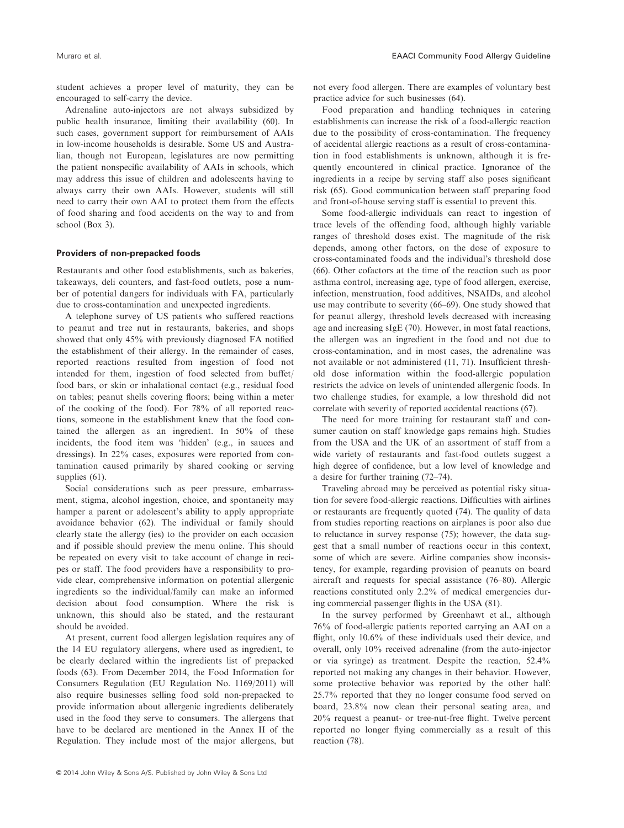student achieves a proper level of maturity, they can be encouraged to self-carry the device.

Adrenaline auto-injectors are not always subsidized by public health insurance, limiting their availability (60). In such cases, government support for reimbursement of AAIs in low-income households is desirable. Some US and Australian, though not European, legislatures are now permitting the patient nonspecific availability of AAIs in schools, which may address this issue of children and adolescents having to always carry their own AAIs. However, students will still need to carry their own AAI to protect them from the effects of food sharing and food accidents on the way to and from school (Box 3).

# Providers of non-prepacked foods

Restaurants and other food establishments, such as bakeries, takeaways, deli counters, and fast-food outlets, pose a number of potential dangers for individuals with FA, particularly due to cross-contamination and unexpected ingredients.

A telephone survey of US patients who suffered reactions to peanut and tree nut in restaurants, bakeries, and shops showed that only 45% with previously diagnosed FA notified the establishment of their allergy. In the remainder of cases, reported reactions resulted from ingestion of food not intended for them, ingestion of food selected from buffet/ food bars, or skin or inhalational contact (e.g., residual food on tables; peanut shells covering floors; being within a meter of the cooking of the food). For 78% of all reported reactions, someone in the establishment knew that the food contained the allergen as an ingredient. In 50% of these incidents, the food item was 'hidden' (e.g., in sauces and dressings). In 22% cases, exposures were reported from contamination caused primarily by shared cooking or serving supplies (61).

Social considerations such as peer pressure, embarrassment, stigma, alcohol ingestion, choice, and spontaneity may hamper a parent or adolescent's ability to apply appropriate avoidance behavior (62). The individual or family should clearly state the allergy (ies) to the provider on each occasion and if possible should preview the menu online. This should be repeated on every visit to take account of change in recipes or staff. The food providers have a responsibility to provide clear, comprehensive information on potential allergenic ingredients so the individual/family can make an informed decision about food consumption. Where the risk is unknown, this should also be stated, and the restaurant should be avoided.

At present, current food allergen legislation requires any of the 14 EU regulatory allergens, where used as ingredient, to be clearly declared within the ingredients list of prepacked foods (63). From December 2014, the Food Information for Consumers Regulation (EU Regulation No. 1169/2011) will also require businesses selling food sold non-prepacked to provide information about allergenic ingredients deliberately used in the food they serve to consumers. The allergens that have to be declared are mentioned in the Annex II of the Regulation. They include most of the major allergens, but

not every food allergen. There are examples of voluntary best practice advice for such businesses (64).

Food preparation and handling techniques in catering establishments can increase the risk of a food-allergic reaction due to the possibility of cross-contamination. The frequency of accidental allergic reactions as a result of cross-contamination in food establishments is unknown, although it is frequently encountered in clinical practice. Ignorance of the ingredients in a recipe by serving staff also poses significant risk (65). Good communication between staff preparing food and front-of-house serving staff is essential to prevent this.

Some food-allergic individuals can react to ingestion of trace levels of the offending food, although highly variable ranges of threshold doses exist. The magnitude of the risk depends, among other factors, on the dose of exposure to cross-contaminated foods and the individual's threshold dose (66). Other cofactors at the time of the reaction such as poor asthma control, increasing age, type of food allergen, exercise, infection, menstruation, food additives, NSAIDs, and alcohol use may contribute to severity (66–69). One study showed that for peanut allergy, threshold levels decreased with increasing age and increasing sIgE (70). However, in most fatal reactions, the allergen was an ingredient in the food and not due to cross-contamination, and in most cases, the adrenaline was not available or not administered (11, 71). Insufficient threshold dose information within the food-allergic population restricts the advice on levels of unintended allergenic foods. In two challenge studies, for example, a low threshold did not correlate with severity of reported accidental reactions (67).

The need for more training for restaurant staff and consumer caution on staff knowledge gaps remains high. Studies from the USA and the UK of an assortment of staff from a wide variety of restaurants and fast-food outlets suggest a high degree of confidence, but a low level of knowledge and a desire for further training (72–74).

Traveling abroad may be perceived as potential risky situation for severe food-allergic reactions. Difficulties with airlines or restaurants are frequently quoted (74). The quality of data from studies reporting reactions on airplanes is poor also due to reluctance in survey response (75); however, the data suggest that a small number of reactions occur in this context, some of which are severe. Airline companies show inconsistency, for example, regarding provision of peanuts on board aircraft and requests for special assistance (76–80). Allergic reactions constituted only 2.2% of medical emergencies during commercial passenger flights in the USA (81).

In the survey performed by Greenhawt et al., although 76% of food-allergic patients reported carrying an AAI on a flight, only 10.6% of these individuals used their device, and overall, only 10% received adrenaline (from the auto-injector or via syringe) as treatment. Despite the reaction, 52.4% reported not making any changes in their behavior. However, some protective behavior was reported by the other half: 25.7% reported that they no longer consume food served on board, 23.8% now clean their personal seating area, and 20% request a peanut- or tree-nut-free flight. Twelve percent reported no longer flying commercially as a result of this reaction (78).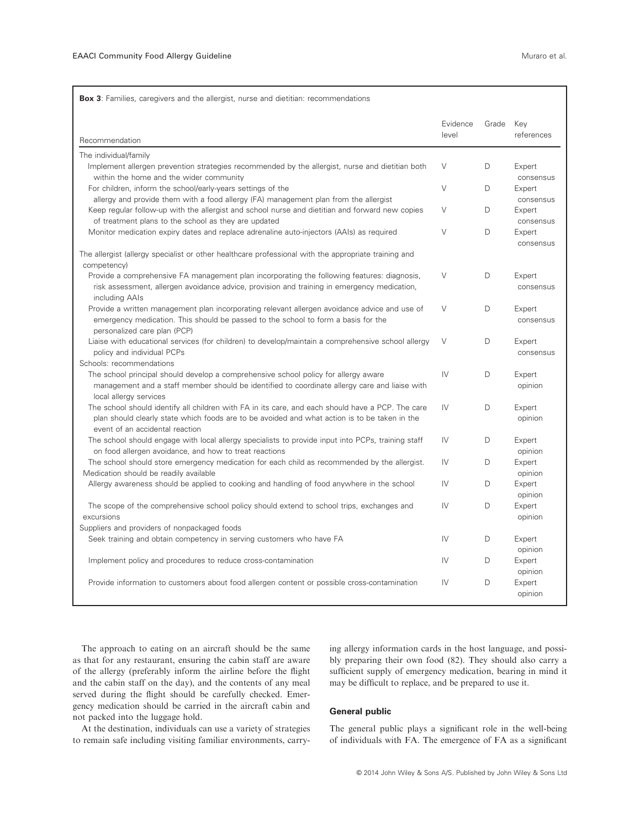$\mathsf{r}$ 

|                                                                                                                                                                                                                                       | Evidence | Grade | Key                 |
|---------------------------------------------------------------------------------------------------------------------------------------------------------------------------------------------------------------------------------------|----------|-------|---------------------|
| Recommendation                                                                                                                                                                                                                        | level    |       | references          |
| The individual/family                                                                                                                                                                                                                 |          |       |                     |
| Implement allergen prevention strategies recommended by the allergist, nurse and dietitian both<br>within the home and the wider community                                                                                            | $\vee$   | D     | Expert<br>consensus |
| For children, inform the school/early-years settings of the<br>allergy and provide them with a food allergy (FA) management plan from the allergist                                                                                   | $\vee$   | D     | Expert<br>consensus |
| Keep regular follow-up with the allergist and school nurse and dietitian and forward new copies<br>of treatment plans to the school as they are updated                                                                               | $\vee$   | D     | Expert<br>consensus |
| Monitor medication expiry dates and replace adrenaline auto-injectors (AAIs) as required                                                                                                                                              | $\vee$   | D     | Expert<br>consensus |
| The allergist (allergy specialist or other healthcare professional with the appropriate training and<br>competency)                                                                                                                   |          |       |                     |
| Provide a comprehensive FA management plan incorporating the following features: diagnosis,<br>risk assessment, allergen avoidance advice, provision and training in emergency medication,<br>including AAIs                          | $\vee$   | D     | Expert<br>consensus |
| Provide a written management plan incorporating relevant allergen avoidance advice and use of<br>emergency medication. This should be passed to the school to form a basis for the<br>personalized care plan (PCP)                    | $\vee$   | D     | Expert<br>consensus |
| Liaise with educational services (for children) to develop/maintain a comprehensive school allergy<br>policy and individual PCPs<br>Schools: recommendations                                                                          | $\vee$   | D     | Expert<br>consensus |
| The school principal should develop a comprehensive school policy for allergy aware<br>management and a staff member should be identified to coordinate allergy care and liaise with<br>local allergy services                        | IV       | D     | Expert<br>opinion   |
| The school should identify all children with FA in its care, and each should have a PCP. The care<br>plan should clearly state which foods are to be avoided and what action is to be taken in the<br>event of an accidental reaction | IV       | D     | Expert<br>opinion   |
| The school should engage with local allergy specialists to provide input into PCPs, training staff<br>on food allergen avoidance, and how to treat reactions                                                                          | IV       | D     | Expert<br>opinion   |
| The school should store emergency medication for each child as recommended by the allergist.<br>Medication should be readily available                                                                                                | IV       | D     | Expert<br>opinion   |
| Allergy awareness should be applied to cooking and handling of food anywhere in the school                                                                                                                                            | IV       | D     | Expert<br>opinion   |
| The scope of the comprehensive school policy should extend to school trips, exchanges and<br>excursions                                                                                                                               | IV       | D     | Expert<br>opinion   |
| Suppliers and providers of nonpackaged foods<br>Seek training and obtain competency in serving customers who have FA                                                                                                                  | IV       | D     | Expert<br>opinion   |
| Implement policy and procedures to reduce cross-contamination                                                                                                                                                                         | IV       | D     | Expert<br>opinion   |
| Provide information to customers about food allergen content or possible cross-contamination                                                                                                                                          | IV       | D     | Expert<br>opinion   |

The approach to eating on an aircraft should be the same as that for any restaurant, ensuring the cabin staff are aware of the allergy (preferably inform the airline before the flight and the cabin staff on the day), and the contents of any meal served during the flight should be carefully checked. Emergency medication should be carried in the aircraft cabin and not packed into the luggage hold.

At the destination, individuals can use a variety of strategies to remain safe including visiting familiar environments, carrying allergy information cards in the host language, and possibly preparing their own food (82). They should also carry a sufficient supply of emergency medication, bearing in mind it may be difficult to replace, and be prepared to use it.

# General public

The general public plays a significant role in the well-being of individuals with FA. The emergence of FA as a significant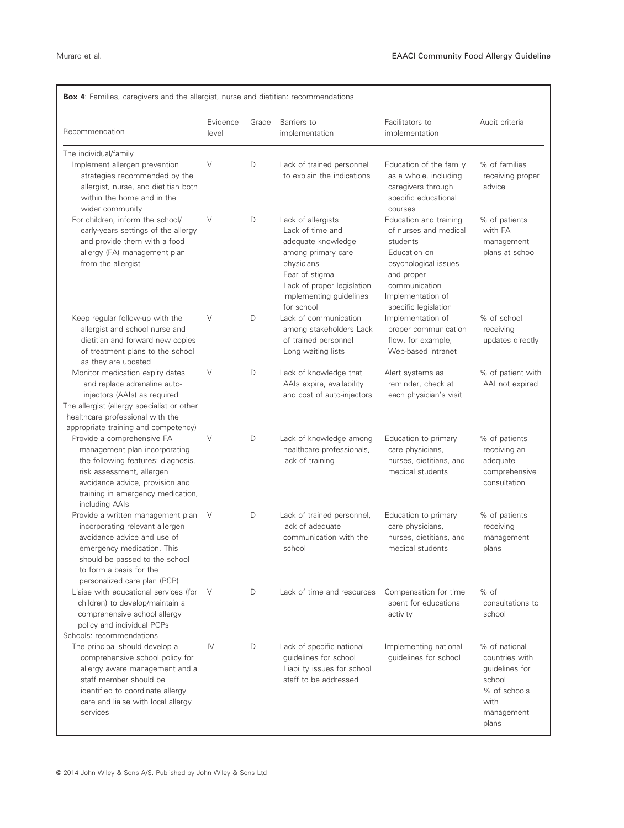| Recommendation                                                                                                                                                                                                                                  | Evidence<br>level | Grade | Barriers to<br>implementation                                                                                                                                                             | Facilitators to<br>implementation                                                                                                                                               | Audit criteria                                                                                             |
|-------------------------------------------------------------------------------------------------------------------------------------------------------------------------------------------------------------------------------------------------|-------------------|-------|-------------------------------------------------------------------------------------------------------------------------------------------------------------------------------------------|---------------------------------------------------------------------------------------------------------------------------------------------------------------------------------|------------------------------------------------------------------------------------------------------------|
| The individual/family<br>Implement allergen prevention<br>strategies recommended by the<br>allergist, nurse, and dietitian both<br>within the home and in the<br>wider community                                                                | V                 | D     | Lack of trained personnel<br>to explain the indications                                                                                                                                   | Education of the family<br>as a whole, including<br>caregivers through<br>specific educational<br>courses                                                                       | % of families<br>receiving proper<br>advice                                                                |
| For children, inform the school/<br>early-years settings of the allergy<br>and provide them with a food<br>allergy (FA) management plan<br>from the allergist                                                                                   | V                 | D     | Lack of allergists<br>Lack of time and<br>adequate knowledge<br>among primary care<br>physicians<br>Fear of stigma<br>Lack of proper legislation<br>implementing guidelines<br>for school | Education and training<br>of nurses and medical<br>students<br>Education on<br>psychological issues<br>and proper<br>communication<br>Implementation of<br>specific legislation | % of patients<br>with FA<br>management<br>plans at school                                                  |
| Keep regular follow-up with the<br>allergist and school nurse and<br>dietitian and forward new copies<br>of treatment plans to the school<br>as they are updated                                                                                | V                 | D     | Lack of communication<br>among stakeholders Lack<br>of trained personnel<br>Long waiting lists                                                                                            | Implementation of<br>proper communication<br>flow, for example,<br>Web-based intranet                                                                                           | % of school<br>receiving<br>updates directly                                                               |
| Monitor medication expiry dates<br>and replace adrenaline auto-<br>injectors (AAIs) as required<br>The allergist (allergy specialist or other<br>healthcare professional with the<br>appropriate training and competency)                       | $\vee$            | D     | Lack of knowledge that<br>AAIs expire, availability<br>and cost of auto-injectors                                                                                                         | Alert systems as<br>reminder, check at<br>each physician's visit                                                                                                                | % of patient with<br>AAI not expired                                                                       |
| Provide a comprehensive FA<br>management plan incorporating<br>the following features: diagnosis,<br>risk assessment, allergen<br>avoidance advice, provision and<br>training in emergency medication,<br>including AAIs                        | $\vee$            | D     | Lack of knowledge among<br>healthcare professionals,<br>lack of training                                                                                                                  | Education to primary<br>care physicians,<br>nurses, dietitians, and<br>medical students                                                                                         | % of patients<br>receiving an<br>adequate<br>comprehensive<br>consultation                                 |
| Provide a written management plan<br>incorporating relevant allergen<br>avoidance advice and use of<br>emergency medication. This<br>should be passed to the school<br>to form a basis for the<br>personalized care plan (PCP)                  | V                 | D     | Lack of trained personnel,<br>lack of adequate<br>communication with the<br>school                                                                                                        | Education to primary<br>care physicians,<br>nurses, dietitians, and<br>medical students                                                                                         | % of patients<br>receiving<br>management<br>plans                                                          |
| Liaise with educational services (for<br>children) to develop/maintain a<br>comprehensive school allergy<br>policy and individual PCPs                                                                                                          | V                 | D     | Lack of time and resources                                                                                                                                                                | Compensation for time<br>spent for educational<br>activity                                                                                                                      | % of<br>consultations to<br>school                                                                         |
| Schools: recommendations<br>The principal should develop a<br>comprehensive school policy for<br>allergy aware management and a<br>staff member should be<br>identified to coordinate allergy<br>care and liaise with local allergy<br>services | IV                | D     | Lack of specific national<br>guidelines for school<br>Liability issues for school<br>staff to be addressed                                                                                | Implementing national<br>quidelines for school                                                                                                                                  | % of national<br>countries with<br>guidelines for<br>school<br>% of schools<br>with<br>management<br>plans |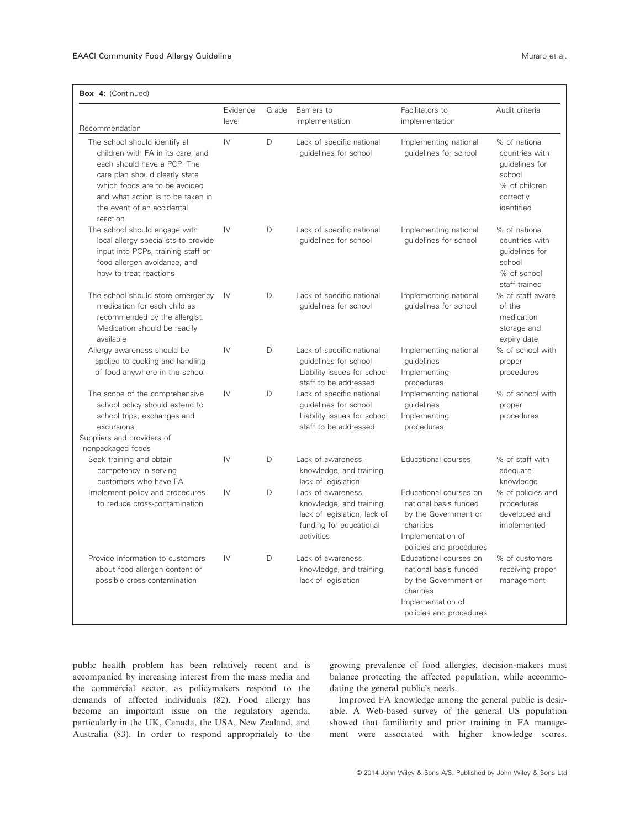|                                                                                                                                                                                                                                                      | Evidence      | Grade | Barriers to                                                                                                             | Facilitators to                                                                                                                      | Audit criteria                                                                                          |
|------------------------------------------------------------------------------------------------------------------------------------------------------------------------------------------------------------------------------------------------------|---------------|-------|-------------------------------------------------------------------------------------------------------------------------|--------------------------------------------------------------------------------------------------------------------------------------|---------------------------------------------------------------------------------------------------------|
| Recommendation                                                                                                                                                                                                                                       | level         |       | implementation                                                                                                          | implementation                                                                                                                       |                                                                                                         |
| The school should identify all<br>children with FA in its care, and<br>each should have a PCP. The<br>care plan should clearly state<br>which foods are to be avoided<br>and what action is to be taken in<br>the event of an accidental<br>reaction | IV            | D     | Lack of specific national<br>guidelines for school                                                                      | Implementing national<br>guidelines for school                                                                                       | % of national<br>countries with<br>quidelines for<br>school<br>% of children<br>correctly<br>identified |
| The school should engage with<br>local allergy specialists to provide<br>input into PCPs, training staff on<br>food allergen avoidance, and<br>how to treat reactions                                                                                | IV            | D     | Lack of specific national<br>guidelines for school                                                                      | Implementing national<br>guidelines for school                                                                                       | % of national<br>countries with<br>quidelines for<br>school<br>% of school<br>staff trained             |
| The school should store emergency<br>medication for each child as<br>recommended by the allergist.<br>Medication should be readily<br>available                                                                                                      | IV            | D     | Lack of specific national<br>quidelines for school                                                                      | Implementing national<br>quidelines for school                                                                                       | % of staff aware<br>of the<br>medication<br>storage and<br>expiry date                                  |
| Allergy awareness should be<br>applied to cooking and handling<br>of food anywhere in the school                                                                                                                                                     | IV            | D     | Lack of specific national<br>guidelines for school<br>Liability issues for school<br>staff to be addressed              | Implementing national<br>guidelines<br>Implementing<br>procedures                                                                    | % of school with<br>proper<br>procedures                                                                |
| The scope of the comprehensive<br>school policy should extend to<br>school trips, exchanges and<br>excursions<br>Suppliers and providers of<br>nonpackaged foods                                                                                     | $\mathsf{IV}$ | D     | Lack of specific national<br>guidelines for school<br>Liability issues for school<br>staff to be addressed              | Implementing national<br>quidelines<br>Implementing<br>procedures                                                                    | % of school with<br>proper<br>procedures                                                                |
| Seek training and obtain<br>competency in serving<br>customers who have FA                                                                                                                                                                           | $\mathsf{IV}$ | D     | Lack of awareness.<br>knowledge, and training,<br>lack of legislation                                                   | Educational courses                                                                                                                  | % of staff with<br>adequate<br>knowledge                                                                |
| Implement policy and procedures<br>to reduce cross-contamination                                                                                                                                                                                     | IV            | D     | Lack of awareness.<br>knowledge, and training,<br>lack of legislation, lack of<br>funding for educational<br>activities | Educational courses on<br>national basis funded<br>by the Government or<br>charities<br>Implementation of<br>policies and procedures | % of policies and<br>procedures<br>developed and<br>implemented                                         |
| Provide information to customers<br>about food allergen content or<br>possible cross-contamination                                                                                                                                                   | IV            | D     | Lack of awareness,<br>knowledge, and training,<br>lack of legislation                                                   | Educational courses on<br>national basis funded<br>by the Government or<br>charities<br>Implementation of<br>policies and procedures | % of customers<br>receiving proper<br>management                                                        |

public health problem has been relatively recent and is accompanied by increasing interest from the mass media and the commercial sector, as policymakers respond to the demands of affected individuals (82). Food allergy has become an important issue on the regulatory agenda, particularly in the UK, Canada, the USA, New Zealand, and Australia (83). In order to respond appropriately to the

growing prevalence of food allergies, decision-makers must balance protecting the affected population, while accommodating the general public's needs.

Improved FA knowledge among the general public is desirable. A Web-based survey of the general US population showed that familiarity and prior training in FA management were associated with higher knowledge scores.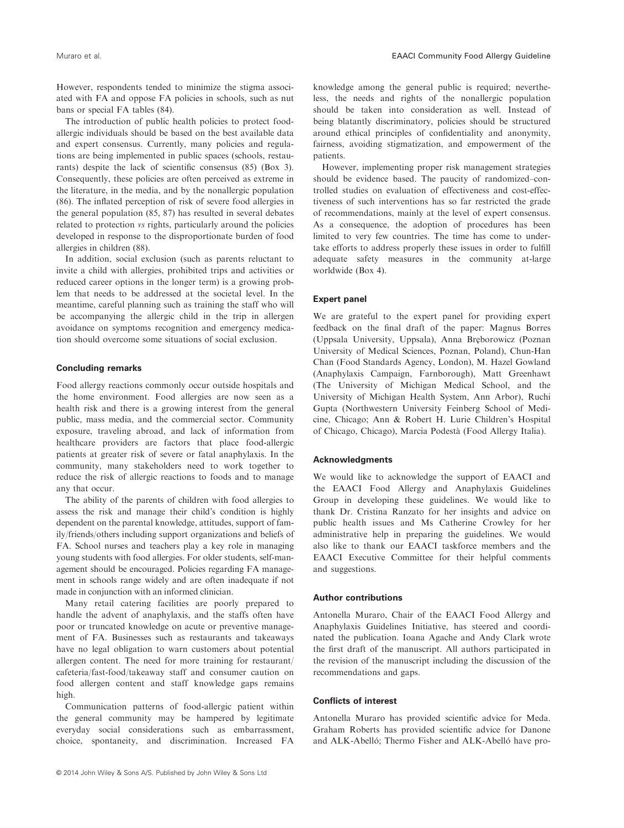However, respondents tended to minimize the stigma associated with FA and oppose FA policies in schools, such as nut bans or special FA tables (84).

The introduction of public health policies to protect foodallergic individuals should be based on the best available data and expert consensus. Currently, many policies and regulations are being implemented in public spaces (schools, restaurants) despite the lack of scientific consensus (85) (Box 3). Consequently, these policies are often perceived as extreme in the literature, in the media, and by the nonallergic population (86). The inflated perception of risk of severe food allergies in the general population (85, 87) has resulted in several debates related to protection vs rights, particularly around the policies developed in response to the disproportionate burden of food allergies in children (88).

In addition, social exclusion (such as parents reluctant to invite a child with allergies, prohibited trips and activities or reduced career options in the longer term) is a growing problem that needs to be addressed at the societal level. In the meantime, careful planning such as training the staff who will be accompanying the allergic child in the trip in allergen avoidance on symptoms recognition and emergency medication should overcome some situations of social exclusion.

# Concluding remarks

Food allergy reactions commonly occur outside hospitals and the home environment. Food allergies are now seen as a health risk and there is a growing interest from the general public, mass media, and the commercial sector. Community exposure, traveling abroad, and lack of information from healthcare providers are factors that place food-allergic patients at greater risk of severe or fatal anaphylaxis. In the community, many stakeholders need to work together to reduce the risk of allergic reactions to foods and to manage any that occur.

The ability of the parents of children with food allergies to assess the risk and manage their child's condition is highly dependent on the parental knowledge, attitudes, support of family/friends/others including support organizations and beliefs of FA. School nurses and teachers play a key role in managing young students with food allergies. For older students, self-management should be encouraged. Policies regarding FA management in schools range widely and are often inadequate if not made in conjunction with an informed clinician.

Many retail catering facilities are poorly prepared to handle the advent of anaphylaxis, and the staffs often have poor or truncated knowledge on acute or preventive management of FA. Businesses such as restaurants and takeaways have no legal obligation to warn customers about potential allergen content. The need for more training for restaurant/ cafeteria/fast-food/takeaway staff and consumer caution on food allergen content and staff knowledge gaps remains high.

Communication patterns of food-allergic patient within the general community may be hampered by legitimate everyday social considerations such as embarrassment, choice, spontaneity, and discrimination. Increased FA

knowledge among the general public is required; nevertheless, the needs and rights of the nonallergic population should be taken into consideration as well. Instead of being blatantly discriminatory, policies should be structured around ethical principles of confidentiality and anonymity, fairness, avoiding stigmatization, and empowerment of the patients.

However, implementing proper risk management strategies should be evidence based. The paucity of randomized–controlled studies on evaluation of effectiveness and cost-effectiveness of such interventions has so far restricted the grade of recommendations, mainly at the level of expert consensus. As a consequence, the adoption of procedures has been limited to very few countries. The time has come to undertake efforts to address properly these issues in order to fulfill adequate safety measures in the community at-large worldwide (Box 4).

# Expert panel

We are grateful to the expert panel for providing expert feedback on the final draft of the paper: Magnus Borres (Uppsala University, Uppsala), Anna Breborowicz (Poznan University of Medical Sciences, Poznan, Poland), Chun-Han Chan (Food Standards Agency, London), M. Hazel Gowland (Anaphylaxis Campaign, Farnborough), Matt Greenhawt (The University of Michigan Medical School, and the University of Michigan Health System, Ann Arbor), Ruchi Gupta (Northwestern University Feinberg School of Medicine, Chicago; Ann & Robert H. Lurie Children's Hospital of Chicago, Chicago), Marcia Podestà (Food Allergy Italia).

# Acknowledgments

We would like to acknowledge the support of EAACI and the EAACI Food Allergy and Anaphylaxis Guidelines Group in developing these guidelines. We would like to thank Dr. Cristina Ranzato for her insights and advice on public health issues and Ms Catherine Crowley for her administrative help in preparing the guidelines. We would also like to thank our EAACI taskforce members and the EAACI Executive Committee for their helpful comments and suggestions.

# Author contributions

Antonella Muraro, Chair of the EAACI Food Allergy and Anaphylaxis Guidelines Initiative, has steered and coordinated the publication. Ioana Agache and Andy Clark wrote the first draft of the manuscript. All authors participated in the revision of the manuscript including the discussion of the recommendations and gaps.

# Conflicts of interest

Antonella Muraro has provided scientific advice for Meda. Graham Roberts has provided scientific advice for Danone and ALK-Abelló; Thermo Fisher and ALK-Abelló have pro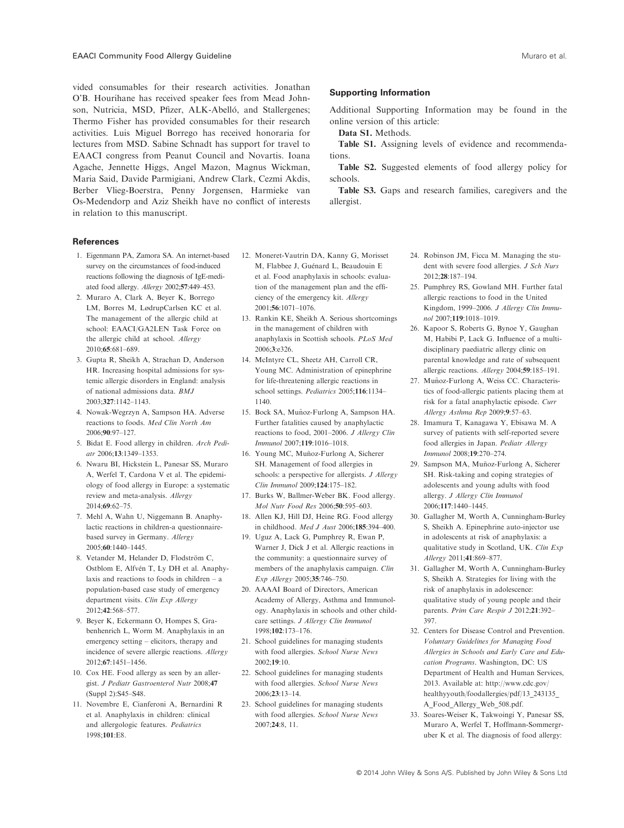vided consumables for their research activities. Jonathan O'B. Hourihane has received speaker fees from Mead Johnson, Nutricia, MSD, Pfizer, ALK-Abelló, and Stallergenes; Thermo Fisher has provided consumables for their research activities. Luis Miguel Borrego has received honoraria for lectures from MSD. Sabine Schnadt has support for travel to EAACI congress from Peanut Council and Novartis. Ioana Agache, Jennette Higgs, Angel Mazon, Magnus Wickman, Maria Said, Davide Parmigiani, Andrew Clark, Cezmi Akdis, Berber Vlieg-Boerstra, Penny Jorgensen, Harmieke van Os-Medendorp and Aziz Sheikh have no conflict of interests in relation to this manuscript.

#### References

- 1. Eigenmann PA, Zamora SA. An internet-based survey on the circumstances of food-induced reactions following the diagnosis of IgE-mediated food allergy. Allergy 2002;57:449–453.
- 2. Muraro A, Clark A, Beyer K, Borrego LM, Borres M, LødrupCarlsen KC et al. The management of the allergic child at school: EAACI/GA2LEN Task Force on the allergic child at school. Allergy 2010;65:681–689.
- 3. Gupta R, Sheikh A, Strachan D, Anderson HR. Increasing hospital admissions for systemic allergic disorders in England: analysis of national admissions data. BMJ 2003;327:1142–1143.
- 4. Nowak-Wegrzyn A, Sampson HA. Adverse reactions to foods. Med Clin North Am 2006;90:97–127.
- 5. Bidat E. Food allergy in children. Arch Pediatr 2006;13:1349–1353.
- 6. Nwaru BI, Hickstein L, Panesar SS, Muraro A, Werfel T, Cardona V et al. The epidemiology of food allergy in Europe: a systematic review and meta-analysis. Allergy 2014;69:62–75.
- 7. Mehl A, Wahn U, Niggemann B. Anaphylactic reactions in children-a questionnairebased survey in Germany. Allergy 2005;60:1440–1445.
- 8. Vetander M, Helander D, Flodström C, Ostblom E, Alfvén T, Ly DH et al. Anaphylaxis and reactions to foods in children – a population-based case study of emergency department visits. Clin Exp Allergy 2012;42:568–577.
- 9. Beyer K, Eckermann O, Hompes S, Grabenhenrich L, Worm M. Anaphylaxis in an emergency setting – elicitors, therapy and incidence of severe allergic reactions. Allergy 2012;67:1451–1456.
- 10. Cox HE. Food allergy as seen by an allergist. J Pediatr Gastroenterol Nutr 2008;47 (Suppl 2):S45–S48.
- 11. Novembre E, Cianferoni A, Bernardini R et al. Anaphylaxis in children: clinical and allergologic features. Pediatrics 1998;101:E8.
- 12. Moneret-Vautrin DA, Kanny G, Morisset M, Flabbee J, Guénard L, Beaudouin E et al. Food anaphylaxis in schools: evaluation of the management plan and the efficiency of the emergency kit. Allergy 2001;56:1071–1076.
- 13. Rankin KE, Sheikh A. Serious shortcomings in the management of children with anaphylaxis in Scottish schools. PLoS Med 2006;3:e326.
- 14. McIntyre CL, Sheetz AH, Carroll CR, Young MC. Administration of epinephrine for life-threatening allergic reactions in school settings. Pediatrics 2005;116:1134– 1140.
- 15. Bock SA, Munoz-Furlong A, Sampson HA. ~ Further fatalities caused by anaphylactic reactions to food, 2001–2006. J Allergy Clin Immunol 2007;119:1016–1018.
- 16. Young MC, Muñoz-Furlong A, Sicherer SH. Management of food allergies in schools: a perspective for allergists. *J Allergy* Clin Immunol 2009;124:175–182.
- 17. Burks W, Ballmer-Weber BK. Food allergy. Mol Nutr Food Res 2006;50:595–603.
- 18. Allen KJ, Hill DJ, Heine RG. Food allergy in childhood. Med J Aust 2006;185:394–400.
- 19. Uguz A, Lack G, Pumphrey R, Ewan P, Warner J, Dick J et al. Allergic reactions in the community: a questionnaire survey of members of the anaphylaxis campaign. Clin Exp Allergy 2005;35:746–750.
- 20. AAAAI Board of Directors, American Academy of Allergy, Asthma and Immunology. Anaphylaxis in schools and other childcare settings. J Allergy Clin Immunol 1998;102:173–176.
- 21. School guidelines for managing students with food allergies. School Nurse News 2002;19:10.
- 22. School guidelines for managing students with food allergies. School Nurse News 2006;23:13–14.
- 23. School guidelines for managing students with food allergies. School Nurse News 2007;24:8, 11.

## Supporting Information

Additional Supporting Information may be found in the online version of this article:

Data S1. Methods.

Table S1. Assigning levels of evidence and recommendations.

Table S2. Suggested elements of food allergy policy for schools.

Table S3. Gaps and research families, caregivers and the allergist.

- 24. Robinson JM, Ficca M. Managing the student with severe food allergies. J Sch Nurs 2012;28:187–194.
- 25. Pumphrey RS, Gowland MH. Further fatal allergic reactions to food in the United Kingdom, 1999–2006. J Allergy Clin Immunol 2007;119:1018–1019.
- 26. Kapoor S, Roberts G, Bynoe Y, Gaughan M, Habibi P, Lack G. Influence of a multidisciplinary paediatric allergy clinic on parental knowledge and rate of subsequent allergic reactions. Allergy 2004;59:185–191.
- 27. Muñoz-Furlong A, Weiss CC. Characteristics of food-allergic patients placing them at risk for a fatal anaphylactic episode. Curr Allergy Asthma Rep 2009;9:57–63.
- 28. Imamura T, Kanagawa Y, Ebisawa M. A survey of patients with self-reported severe food allergies in Japan. Pediatr Allergy Immunol 2008;19:270–274.
- 29. Sampson MA, Muñoz-Furlong A, Sicherer SH. Risk-taking and coping strategies of adolescents and young adults with food allergy. J Allergy Clin Immunol 2006;117:1440–1445.
- 30. Gallagher M, Worth A, Cunningham-Burley S, Sheikh A. Epinephrine auto-injector use in adolescents at risk of anaphylaxis: a qualitative study in Scotland, UK. Clin Exp Allergy 2011;41:869–877.
- 31. Gallagher M, Worth A, Cunningham-Burley S, Sheikh A. Strategies for living with the risk of anaphylaxis in adolescence: qualitative study of young people and their parents. Prim Care Respir J 2012;21:392– 397.
- 32. Centers for Disease Control and Prevention. Voluntary Guidelines for Managing Food Allergies in Schools and Early Care and Education Programs. Washington, DC: US Department of Health and Human Services, 2013. Available at: http://www.cdc.gov/ healthyyouth/foodallergies/pdf/13\_243135\_ A\_Food\_Allergy\_Web\_508.pdf.
- 33. Soares-Weiser K, Takwoingi Y, Panesar SS, Muraro A, Werfel T, Hoffmann-Sommergruber K et al. The diagnosis of food allergy: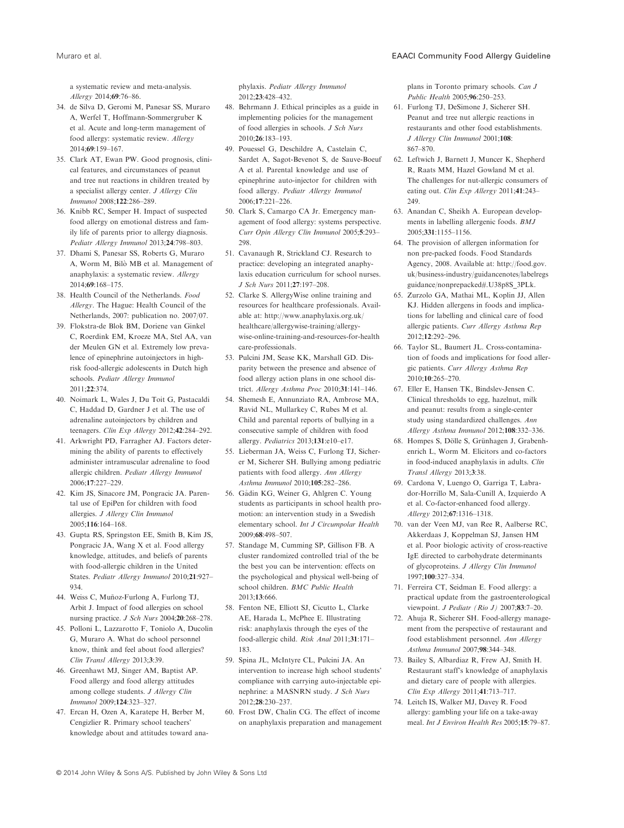a systematic review and meta-analysis. Allergy 2014;69:76–86.

- 34. de Silva D, Geromi M, Panesar SS, Muraro A, Werfel T, Hoffmann-Sommergruber K et al. Acute and long-term management of food allergy: systematic review. Allergy 2014;69:159–167.
- 35. Clark AT, Ewan PW. Good prognosis, clinical features, and circumstances of peanut and tree nut reactions in children treated by a specialist allergy center. J Allergy Clin Immunol 2008;122:286–289.
- 36. Knibb RC, Semper H. Impact of suspected food allergy on emotional distress and family life of parents prior to allergy diagnosis. Pediatr Allergy Immunol 2013;24:798–803.
- 37. Dhami S, Panesar SS, Roberts G, Muraro A, Worm M, Bilò MB et al. Management of anaphylaxis: a systematic review. Allergy 2014;69:168–175.
- 38. Health Council of the Netherlands. Food Allergy. The Hague: Health Council of the Netherlands, 2007: publication no. 2007/07.
- 39. Flokstra-de Blok BM, Doriene van Ginkel C, Roerdink EM, Kroeze MA, Stel AA, van der Meulen GN et al. Extremely low prevalence of epinephrine autoinjectors in highrisk food-allergic adolescents in Dutch high schools. Pediatr Allergy Immunol 2011;22:374.
- 40. Noimark L, Wales J, Du Toit G, Pastacaldi C, Haddad D, Gardner J et al. The use of adrenaline autoinjectors by children and teenagers. Clin Exp Allergy 2012;42:284–292.
- 41. Arkwright PD, Farragher AJ. Factors determining the ability of parents to effectively administer intramuscular adrenaline to food allergic children. Pediatr Allergy Immunol 2006;17:227–229.
- 42. Kim JS, Sinacore JM, Pongracic JA. Parental use of EpiPen for children with food allergies. J Allergy Clin Immunol 2005;116:164–168.
- 43. Gupta RS, Springston EE, Smith B, Kim JS, Pongracic JA, Wang X et al. Food allergy knowledge, attitudes, and beliefs of parents with food-allergic children in the United States. Pediatr Allergy Immunol 2010;21:927– 934.
- 44. Weiss C, Muñoz-Furlong A, Furlong TJ, Arbit J. Impact of food allergies on school nursing practice. J Sch Nurs 2004;20:268–278.
- 45. Polloni L, Lazzarotto F, Toniolo A, Ducolin G, Muraro A. What do school personnel know, think and feel about food allergies? Clin Transl Allergy 2013;3:39.
- 46. Greenhawt MJ, Singer AM, Baptist AP. Food allergy and food allergy attitudes among college students. J Allergy Clin Immunol 2009;124:323–327.
- 47. Ercan H, Ozen A, Karatepe H, Berber M, Cengizlier R. Primary school teachers' knowledge about and attitudes toward ana-

phylaxis. Pediatr Allergy Immunol 2012;23:428–432.

- 48. Behrmann J. Ethical principles as a guide in implementing policies for the management of food allergies in schools. J Sch Nurs 2010;26:183–193.
- 49. Pouessel G, Deschildre A, Castelain C, Sardet A, Sagot-Bevenot S, de Sauve-Boeuf A et al. Parental knowledge and use of epinephrine auto-injector for children with food allergy. Pediatr Allergy Immunol 2006;17:221–226.
- 50. Clark S, Camargo CA Jr. Emergency management of food allergy: systems perspective. Curr Opin Allergy Clin Immunol 2005;5:293– 298.
- 51. Cavanaugh R, Strickland CJ. Research to practice: developing an integrated anaphylaxis education curriculum for school nurses. J Sch Nurs 2011;27:197–208.
- 52. Clarke S. AllergyWise online training and resources for healthcare professionals. Available at: http://www.anaphylaxis.org.uk/ healthcare/allergywise-training/allergywise-online-training-and-resources-for-health care-professionals.
- 53. Pulcini JM, Sease KK, Marshall GD. Disparity between the presence and absence of food allergy action plans in one school district. Allergy Asthma Proc 2010;31:141–146.
- 54. Shemesh E, Annunziato RA, Ambrose MA, Ravid NL, Mullarkey C, Rubes M et al. Child and parental reports of bullying in a consecutive sample of children with food allergy. Pediatrics 2013;131:e10–e17.
- 55. Lieberman JA, Weiss C, Furlong TJ, Sicherer M, Sicherer SH. Bullying among pediatric patients with food allergy. Ann Allergy Asthma Immunol 2010;105:282–286.
- 56. Gadin KG, Weiner G, Ahlgren C. Young students as participants in school health promotion: an intervention study in a Swedish elementary school. Int J Circumpolar Health 2009;68:498–507.
- 57. Standage M, Cumming SP, Gillison FB. A cluster randomized controlled trial of the be the best you can be intervention: effects on the psychological and physical well-being of school children. BMC Public Health 2013;13:666.
- 58. Fenton NE, Elliott SJ, Cicutto L, Clarke AE, Harada L, McPhee E. Illustrating risk: anaphylaxis through the eyes of the food-allergic child. Risk Anal 2011;31:171– 183.
- 59. Spina JL, McIntyre CL, Pulcini JA. An intervention to increase high school students' compliance with carrying auto-injectable epinephrine: a MASNRN study. J Sch Nurs 2012;28:230–237.
- 60. Frost DW, Chalin CG. The effect of income on anaphylaxis preparation and management

plans in Toronto primary schools. Can J Public Health 2005;96:250–253.

- 61. Furlong TJ, DeSimone J, Sicherer SH. Peanut and tree nut allergic reactions in restaurants and other food establishments. J Allergy Clin Immunol 2001;108: 867–870.
- 62. Leftwich J, Barnett J, Muncer K, Shepherd R, Raats MM, Hazel Gowland M et al. The challenges for nut-allergic consumers of eating out. Clin Exp Allergy 2011;41:243– 249.
- 63. Anandan C, Sheikh A. European developments in labelling allergenic foods. BMJ 2005;331:1155–1156.
- 64. The provision of allergen information for non pre-packed foods. Food Standards Agency, 2008. Available at: http://food.gov. uk/business-industry/guidancenotes/labelregs guidance/nonprepacked#.U38p8S\_3PLk.
- 65. Zurzolo GA, Mathai ML, Koplin JJ, Allen KJ. Hidden allergens in foods and implications for labelling and clinical care of food allergic patients. Curr Allergy Asthma Rep 2012;12:292–296.
- 66. Taylor SL, Baumert JL. Cross-contamination of foods and implications for food allergic patients. Curr Allergy Asthma Rep 2010;10:265–270.
- 67. Eller E, Hansen TK, Bindslev-Jensen C. Clinical thresholds to egg, hazelnut, milk and peanut: results from a single-center study using standardized challenges. Ann Allergy Asthma Immunol 2012;108:332–336.
- 68. Hompes S, Dölle S, Grünhagen J, Grabenhenrich L, Worm M. Elicitors and co-factors in food-induced anaphylaxis in adults. Clin Transl Allergy 2013;3:38.
- 69. Cardona V, Luengo O, Garriga T, Labrador-Horrillo M, Sala-Cunill A, Izquierdo A et al. Co-factor-enhanced food allergy. Allergy 2012;67:1316–1318.
- 70. van der Veen MJ, van Ree R, Aalberse RC, Akkerdaas J, Koppelman SJ, Jansen HM et al. Poor biologic activity of cross-reactive IgE directed to carbohydrate determinants of glycoproteins. J Allergy Clin Immunol 1997;100:327–334.
- 71. Ferreira CT, Seidman E. Food allergy: a practical update from the gastroenterological viewpoint. J Pediatr (Rio J)  $2007;83:7-20$ .
- 72. Ahuja R, Sicherer SH. Food-allergy management from the perspective of restaurant and food establishment personnel. Ann Allergy Asthma Immunol 2007;98:344–348.
- 73. Bailey S, Albardiaz R, Frew AJ, Smith H. Restaurant staff's knowledge of anaphylaxis and dietary care of people with allergies. Clin Exp Allergy 2011;41:713–717.
- 74. Leitch IS, Walker MJ, Davey R. Food allergy: gambling your life on a take-away meal. Int J Environ Health Res 2005;15:79–87.